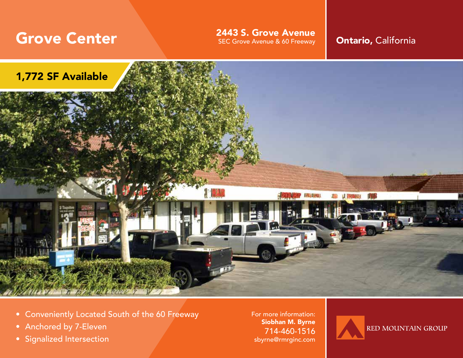Grove Center **Secure SEC Grove Avenue SEC Grove Avenue SEC Grove Avenue SEC Grove Avenue & Of Freeway Ontario, California** 



- Conveniently Located South of the 60 Freeway
- Anchored by 7-Eleven
- Signalized Intersection

For more information: Siobhan M. Byrne 714-460-1516 sbyrne@rmrginc.com

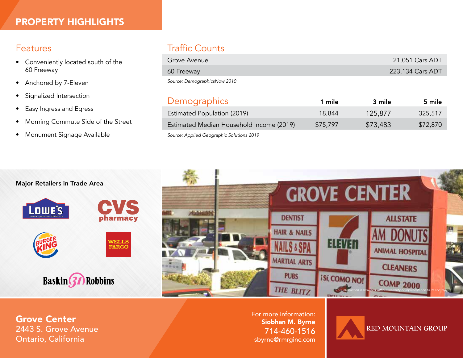### Features

- Conveniently located south of the 60 Freeway
- Anchored by 7-Eleven
- Signalized Intersection
- Easy Ingress and Egress
- Morning Commute Side of the Street
- Monument Signage Available

# Traffic Counts

| Grove Avenue                 | 21,051 Cars ADT  |
|------------------------------|------------------|
| 60 Freeway                   | 223,134 Cars ADT |
| Source: DemographicsNow 2010 |                  |

| <b>Demographics</b>                      | 1 mile   | 3 mile   | 5 mile   |
|------------------------------------------|----------|----------|----------|
| Estimated Population (2019)              | 18,844   | 125,877  | 325,517  |
| Estimated Median Household Income (2019) | \$75,797 | \$73,483 | \$72,870 |
|                                          |          |          |          |

*Source: Applied Geographic Solutions 2019*



Grove Center 2443 S. Grove Avenue Ontario, California

For more information: Siobhan M. Byrne 714-460-1516 sbyrne@rmrginc.com

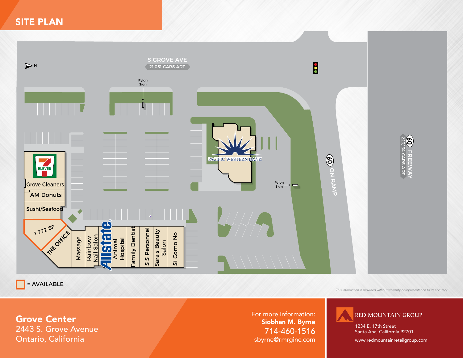## SITE PLAN



 $\overline{\phantom{a}}$  = AVAILABLE

*This information is provided without warranty or representation to its accuracy.*

Grove Center 2443 S. Grove Avenue Ontario, California

For more information: Siobhan M. Byrne 714-460-1516 sbyrne@rmrginc.com **RED MOUNTAIN GROUP** 

1234 E. 17th Street Santa Ana, California 92701

www.redmountainretailgroup.com